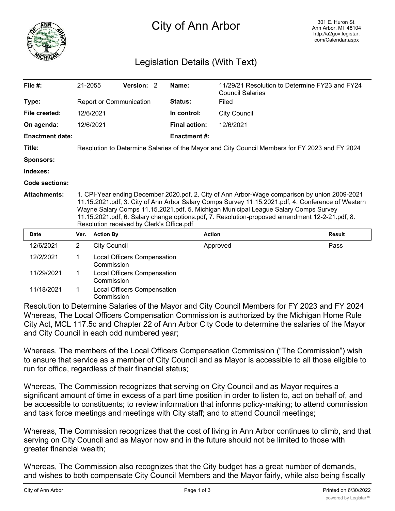

## City of Ann Arbor

## Legislation Details (With Text)

| File $#$ :             | 21-2055                                                                                                                                                                                                                                                                                                                                                                                                                                  |                     | Version: 2                  |  | Name:                | 11/29/21 Resolution to Determine FY23 and FY24<br><b>Council Salaries</b> |               |
|------------------------|------------------------------------------------------------------------------------------------------------------------------------------------------------------------------------------------------------------------------------------------------------------------------------------------------------------------------------------------------------------------------------------------------------------------------------------|---------------------|-----------------------------|--|----------------------|---------------------------------------------------------------------------|---------------|
| Type:                  | Report or Communication                                                                                                                                                                                                                                                                                                                                                                                                                  |                     |                             |  | <b>Status:</b>       | Filed                                                                     |               |
| File created:          |                                                                                                                                                                                                                                                                                                                                                                                                                                          | 12/6/2021           |                             |  | In control:          | <b>City Council</b>                                                       |               |
| On agenda:             |                                                                                                                                                                                                                                                                                                                                                                                                                                          | 12/6/2021           |                             |  | <b>Final action:</b> | 12/6/2021                                                                 |               |
| <b>Enactment date:</b> |                                                                                                                                                                                                                                                                                                                                                                                                                                          |                     |                             |  | <b>Enactment #:</b>  |                                                                           |               |
| Title:                 | Resolution to Determine Salaries of the Mayor and City Council Members for FY 2023 and FY 2024                                                                                                                                                                                                                                                                                                                                           |                     |                             |  |                      |                                                                           |               |
| <b>Sponsors:</b>       |                                                                                                                                                                                                                                                                                                                                                                                                                                          |                     |                             |  |                      |                                                                           |               |
| Indexes:               |                                                                                                                                                                                                                                                                                                                                                                                                                                          |                     |                             |  |                      |                                                                           |               |
| Code sections:         |                                                                                                                                                                                                                                                                                                                                                                                                                                          |                     |                             |  |                      |                                                                           |               |
| <b>Attachments:</b>    | 1. CPI-Year ending December 2020.pdf, 2. City of Ann Arbor-Wage comparison by union 2009-2021<br>11.15.2021.pdf, 3. City of Ann Arbor Salary Comps Survey 11.15.2021.pdf, 4. Conference of Western<br>Wayne Salary Comps 11.15.2021.pdf, 5. Michigan Municipal League Salary Comps Survey<br>11.15.2021.pdf, 6. Salary change options.pdf, 7. Resolution-proposed amendment 12-2-21.pdf, 8.<br>Resolution received by Clerk's Office.pdf |                     |                             |  |                      |                                                                           |               |
| Date                   | Ver.                                                                                                                                                                                                                                                                                                                                                                                                                                     | <b>Action By</b>    |                             |  |                      | <b>Action</b>                                                             | <b>Result</b> |
| 12/6/2021              | $\overline{2}$                                                                                                                                                                                                                                                                                                                                                                                                                           | <b>City Council</b> |                             |  |                      | Approved                                                                  | Pass          |
| 12/2/2021              | 1                                                                                                                                                                                                                                                                                                                                                                                                                                        | Commission          | Local Officers Compensation |  |                      |                                                                           |               |
| 11/29/2021             | 1                                                                                                                                                                                                                                                                                                                                                                                                                                        | Commission          | Local Officers Compensation |  |                      |                                                                           |               |
| 11/18/2021             | 1                                                                                                                                                                                                                                                                                                                                                                                                                                        | Commission          | Local Officers Compensation |  |                      |                                                                           |               |

Resolution to Determine Salaries of the Mayor and City Council Members for FY 2023 and FY 2024 Whereas, The Local Officers Compensation Commission is authorized by the Michigan Home Rule City Act, MCL 117.5c and Chapter 22 of Ann Arbor City Code to determine the salaries of the Mayor and City Council in each odd numbered year;

Whereas, The members of the Local Officers Compensation Commission ("The Commission") wish to ensure that service as a member of City Council and as Mayor is accessible to all those eligible to run for office, regardless of their financial status;

Whereas, The Commission recognizes that serving on City Council and as Mayor requires a significant amount of time in excess of a part time position in order to listen to, act on behalf of, and be accessible to constituents; to review information that informs policy-making; to attend commission and task force meetings and meetings with City staff; and to attend Council meetings;

Whereas, The Commission recognizes that the cost of living in Ann Arbor continues to climb, and that serving on City Council and as Mayor now and in the future should not be limited to those with greater financial wealth;

Whereas, The Commission also recognizes that the City budget has a great number of demands, and wishes to both compensate City Council Members and the Mayor fairly, while also being fiscally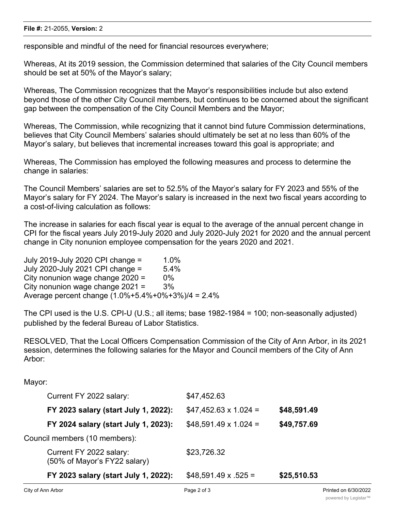## **File #:** 21-2055, **Version:** 2

responsible and mindful of the need for financial resources everywhere;

Whereas, At its 2019 session, the Commission determined that salaries of the City Council members should be set at 50% of the Mayor's salary;

Whereas, The Commission recognizes that the Mayor's responsibilities include but also extend beyond those of the other City Council members, but continues to be concerned about the significant gap between the compensation of the City Council Members and the Mayor;

Whereas, The Commission, while recognizing that it cannot bind future Commission determinations, believes that City Council Members' salaries should ultimately be set at no less than 60% of the Mayor's salary, but believes that incremental increases toward this goal is appropriate; and

Whereas, The Commission has employed the following measures and process to determine the change in salaries:

The Council Members' salaries are set to 52.5% of the Mayor's salary for FY 2023 and 55% of the Mayor's salary for FY 2024. The Mayor's salary is increased in the next two fiscal years according to a cost-of-living calculation as follows:

The increase in salaries for each fiscal year is equal to the average of the annual percent change in CPI for the fiscal years July 2019-July 2020 and July 2020-July 2021 for 2020 and the annual percent change in City nonunion employee compensation for the years 2020 and 2021.

July 2019-July 2020 CPI change = 1.0% July 2020-July 2021 CPI change = 5.4% City nonunion wage change  $2020 = 0\%$ City nonunion wage change  $2021 = 3\%$ Average percent change (1.0%+5.4%+0%+3%)/4 = 2.4%

The CPI used is the U.S. CPI-U (U.S.; all items; base 1982-1984 = 100; non-seasonally adjusted) published by the federal Bureau of Labor Statistics.

RESOLVED, That the Local Officers Compensation Commission of the City of Ann Arbor, in its 2021 session, determines the following salaries for the Mayor and Council members of the City of Ann Arbor:

Mayor:

|                               | FY 2023 salary (start July 1, 2022):                    | $$48,591.49 \times .525 =$  | \$25,510.53 |
|-------------------------------|---------------------------------------------------------|-----------------------------|-------------|
|                               | Current FY 2022 salary:<br>(50% of Mayor's FY22 salary) | \$23,726.32                 |             |
| Council members (10 members): |                                                         |                             |             |
|                               | FY 2024 salary (start July 1, 2023):                    | $$48,591.49 \times 1.024 =$ | \$49,757.69 |
|                               | FY 2023 salary (start July 1, 2022):                    | $$47,452.63 \times 1.024 =$ | \$48,591.49 |
|                               | Current FY 2022 salary:                                 | \$47,452.63                 |             |